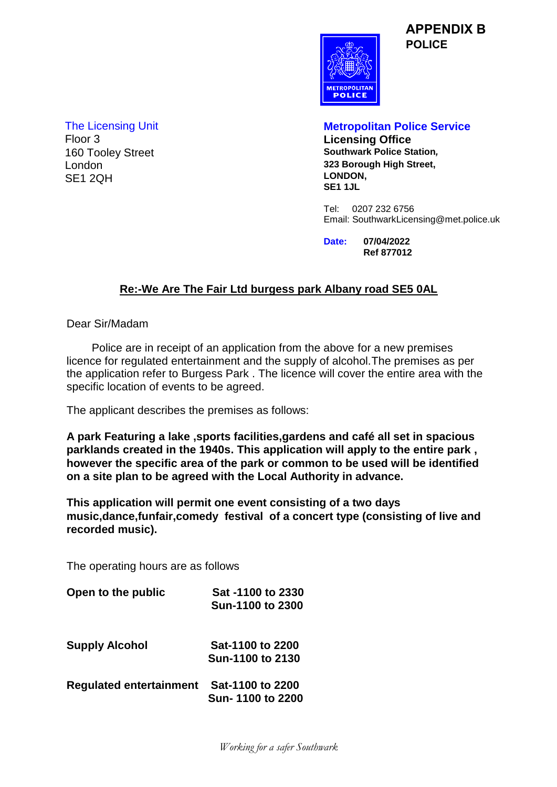**APPENDIX B POLICE**



160 Tooley Street London SE1 2QH

The Licensing Unit **Metropolitan Police Service Licensing Office**<br>Southwark Police Station. **323 Borough High Street, LONDON, SE1 1JL**

> Tel: 0207 232 6756 Email: SouthwarkLicensing@met.police.uk

**Date: 07/04/2022 Ref 877012**

## **Re:-We Are The Fair Ltd burgess park Albany road SE5 0AL**

Dear Sir/Madam

 Police are in receipt of an application from the above for a new premises licence for regulated entertainment and the supply of alcohol.The premises as per the application refer to Burgess Park . The licence will cover the entire area with the specific location of events to be agreed.

The applicant describes the premises as follows:

**A park Featuring a lake ,sports facilities,gardens and café all set in spacious parklands created in the 1940s. This application will apply to the entire park , however the specific area of the park or common to be used will be identified on a site plan to be agreed with the Local Authority in advance.**

**This application will permit one event consisting of a two days music,dance,funfair,comedy festival of a concert type (consisting of live and recorded music).**

The operating hours are as follows

| Open to the public             | Sat -1100 to 2330<br>Sun-1100 to 2300 |  |
|--------------------------------|---------------------------------------|--|
| <b>Supply Alcohol</b>          | Sat-1100 to 2200<br>Sun-1100 to 2130  |  |
| <b>Regulated entertainment</b> | Sat-1100 to 2200<br>Sun-1100 to 2200  |  |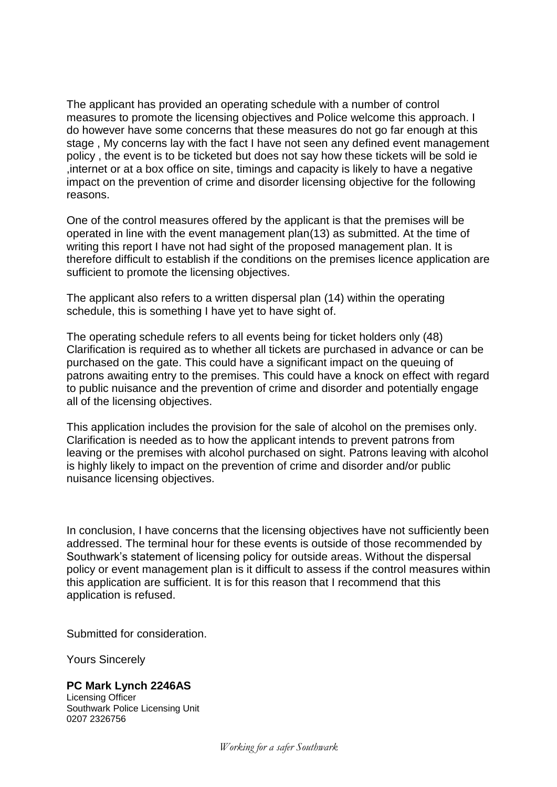The applicant has provided an operating schedule with a number of control measures to promote the licensing objectives and Police welcome this approach. I do however have some concerns that these measures do not go far enough at this stage , My concerns lay with the fact I have not seen any defined event management policy , the event is to be ticketed but does not say how these tickets will be sold ie ,internet or at a box office on site, timings and capacity is likely to have a negative impact on the prevention of crime and disorder licensing objective for the following reasons.

One of the control measures offered by the applicant is that the premises will be operated in line with the event management plan(13) as submitted. At the time of writing this report I have not had sight of the proposed management plan. It is therefore difficult to establish if the conditions on the premises licence application are sufficient to promote the licensing objectives.

The applicant also refers to a written dispersal plan (14) within the operating schedule, this is something I have yet to have sight of.

The operating schedule refers to all events being for ticket holders only (48) Clarification is required as to whether all tickets are purchased in advance or can be purchased on the gate. This could have a significant impact on the queuing of patrons awaiting entry to the premises. This could have a knock on effect with regard to public nuisance and the prevention of crime and disorder and potentially engage all of the licensing objectives.

This application includes the provision for the sale of alcohol on the premises only. Clarification is needed as to how the applicant intends to prevent patrons from leaving or the premises with alcohol purchased on sight. Patrons leaving with alcohol is highly likely to impact on the prevention of crime and disorder and/or public nuisance licensing objectives.

In conclusion, I have concerns that the licensing objectives have not sufficiently been addressed. The terminal hour for these events is outside of those recommended by Southwark's statement of licensing policy for outside areas. Without the dispersal policy or event management plan is it difficult to assess if the control measures within this application are sufficient. It is for this reason that I recommend that this application is refused.

Submitted for consideration.

Yours Sincerely

**PC Mark Lynch 2246AS**  Licensing Officer Southwark Police Licensing Unit 0207 2326756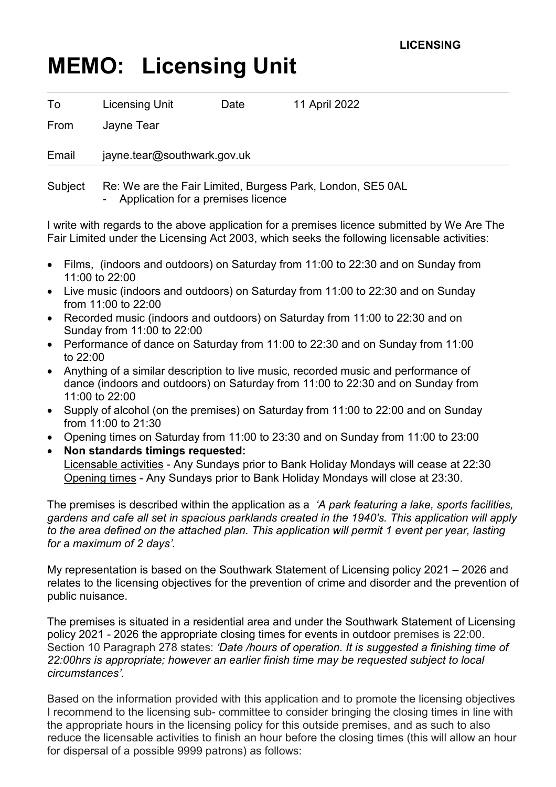## **MEMO: Licensing Unit**

| To    | <b>Licensing Unit</b>       | Date | 11 April 2022 |
|-------|-----------------------------|------|---------------|
| From  | Jayne Tear                  |      |               |
| Email | jayne.tear@southwark.gov.uk |      |               |

Subject Re: We are the Fair Limited, Burgess Park, London, SE5 0AL

- Application for a premises licence

I write with regards to the above application for a premises licence submitted by We Are The Fair Limited under the Licensing Act 2003, which seeks the following licensable activities:

- Films, (indoors and outdoors) on Saturday from 11:00 to 22:30 and on Sunday from 11:00 to 22:00
- Live music (indoors and outdoors) on Saturday from 11:00 to 22:30 and on Sunday from 11:00 to 22:00
- Recorded music (indoors and outdoors) on Saturday from 11:00 to 22:30 and on Sunday from 11:00 to 22:00
- Performance of dance on Saturday from 11:00 to 22:30 and on Sunday from 11:00 to 22:00
- Anything of a similar description to live music, recorded music and performance of dance (indoors and outdoors) on Saturday from 11:00 to 22:30 and on Sunday from 11:00 to 22:00
- Supply of alcohol (on the premises) on Saturday from 11:00 to 22:00 and on Sunday from 11:00 to 21:30
- Opening times on Saturday from 11:00 to 23:30 and on Sunday from 11:00 to 23:00
- **Non standards timings requested:** Licensable activities - Any Sundays prior to Bank Holiday Mondays will cease at 22:30 Opening times - Any Sundays prior to Bank Holiday Mondays will close at 23:30.

The premises is described within the application as a *'A park featuring a lake, sports facilities, gardens and cafe all set in spacious parklands created in the 1940's. This application will apply to the area defined on the attached plan. This application will permit 1 event per year, lasting for a maximum of 2 days'.*

My representation is based on the Southwark Statement of Licensing policy 2021 – 2026 and relates to the licensing objectives for the prevention of crime and disorder and the prevention of public nuisance.

The premises is situated in a residential area and under the Southwark Statement of Licensing policy 2021 - 2026 the appropriate closing times for events in outdoor premises is 22:00. Section 10 Paragraph 278 states: *'Date /hours of operation. It is suggested a finishing time of 22:00hrs is appropriate; however an earlier finish time may be requested subject to local circumstances'.* 

Based on the information provided with this application and to promote the licensing objectives I recommend to the licensing sub- committee to consider bringing the closing times in line with the appropriate hours in the licensing policy for this outside premises, and as such to also reduce the licensable activities to finish an hour before the closing times (this will allow an hour for dispersal of a possible 9999 patrons) as follows: